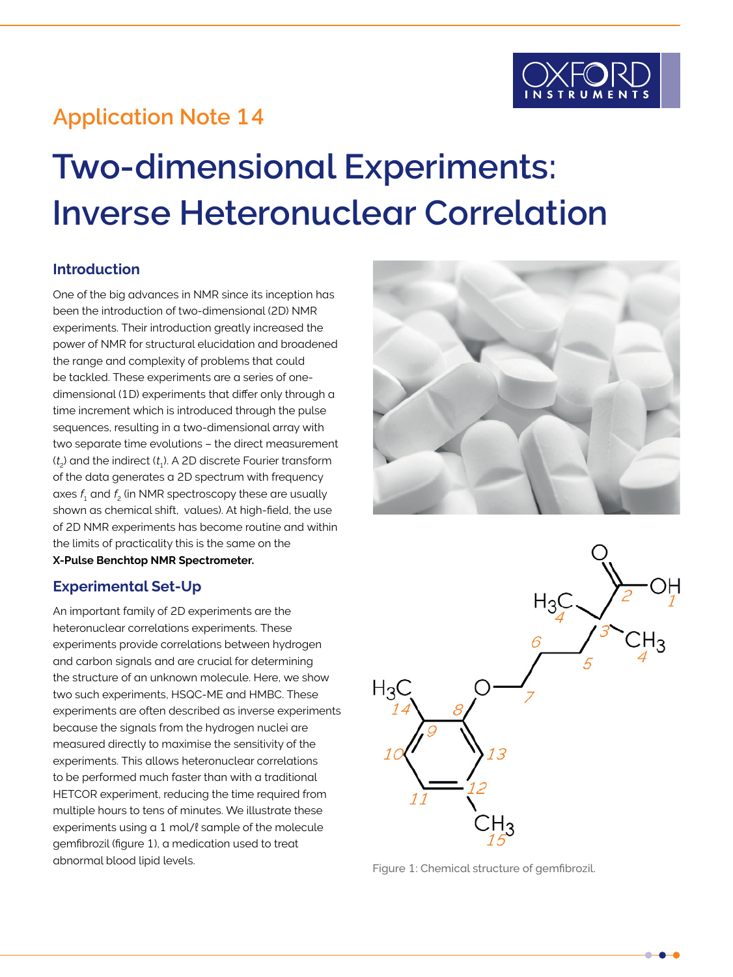

## **Application Note 14**

# **Two-dimensional Experiments: Inverse Heteronuclear Correlation**

#### **Introduction**

One of the big advances in NMR since its inception has been the introduction of two-dimensional (2D) NMR experiments. Their introduction greatly increased the power of NMR for structural elucidation and broadened the range and complexity of problems that could be tackled. These experiments are a series of onedimensional (1D) experiments that differ only through a time increment which is introduced through the pulse sequences, resulting in a two-dimensional array with two separate time evolutions – the direct measurement  $(t<sub>2</sub>)$  and the indirect  $(t<sub>1</sub>)$ . A 2D discrete Fourier transform of the data generates a 2D spectrum with frequency axes  $f_1$  and  $f_2$  (in NMR spectroscopy these are usually shown as chemical shift, values). At high-field, the use of 2D NMR experiments has become routine and within the limits of practicality this is the same on the

**X-Pulse Benchtop NMR Spectrometer.**

#### **Experimental Set-Up**

An important family of 2D experiments are the heteronuclear correlations experiments. These experiments provide correlations between hydrogen and carbon signals and are crucial for determining the structure of an unknown molecule. Here, we show two such experiments, HSQC-ME and HMBC. These experiments are often described as inverse experiments because the signals from the hydrogen nuclei are measured directly to maximise the sensitivity of the experiments. This allows heteronuclear correlations to be performed much faster than with a traditional HETCOR experiment, reducing the time required from multiple hours to tens of minutes. We illustrate these experiments using a 1 mol/l sample of the molecule gemfibrozil (figure 1), a medication used to treat abnormal blood lipid levels. Figure 1: Chemical structure of gemfibrozil.



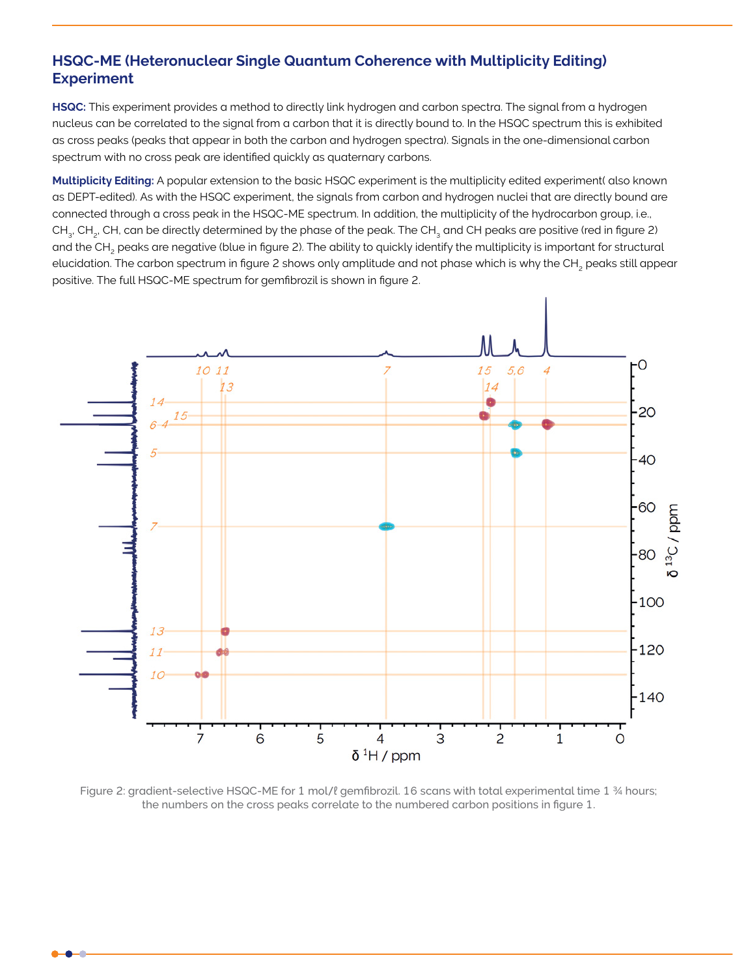#### **HSQC-ME (Heteronuclear Single Quantum Coherence with Multiplicity Editing) Experiment**

**HSQC:** This experiment provides a method to directly link hydrogen and carbon spectra. The signal from a hydrogen nucleus can be correlated to the signal from a carbon that it is directly bound to. In the HSQC spectrum this is exhibited as cross peaks (peaks that appear in both the carbon and hydrogen spectra). Signals in the one-dimensional carbon spectrum with no cross peak are identified quickly as quaternary carbons.

**Multiplicity Editing:** A popular extension to the basic HSQC experiment is the multiplicity edited experiment( also known as DEPT-edited). As with the HSQC experiment, the signals from carbon and hydrogen nuclei that are directly bound are connected through a cross peak in the HSQC-ME spectrum. In addition, the multiplicity of the hydrocarbon group, i.e., CH<sub>3</sub>, CH<sub>3</sub>, CH, can be directly determined by the phase of the peak. The CH<sub>3</sub> and CH peaks are positive (red in figure 2) and the CH<sub>2</sub> peaks are negative (blue in figure 2). The ability to quickly identify the multiplicity is important for structural elucidation. The carbon spectrum in figure 2 shows only amplitude and not phase which is why the CH<sub>2</sub> peaks still appear positive. The full HSQC-ME spectrum for gemfibrozil is shown in figure 2.



Figure 2: gradient-selective HSQC-ME for 1 mol/ℓ gemfibrozil. 16 scans with total experimental time 1 ¾ hours; the numbers on the cross peaks correlate to the numbered carbon positions in figure 1.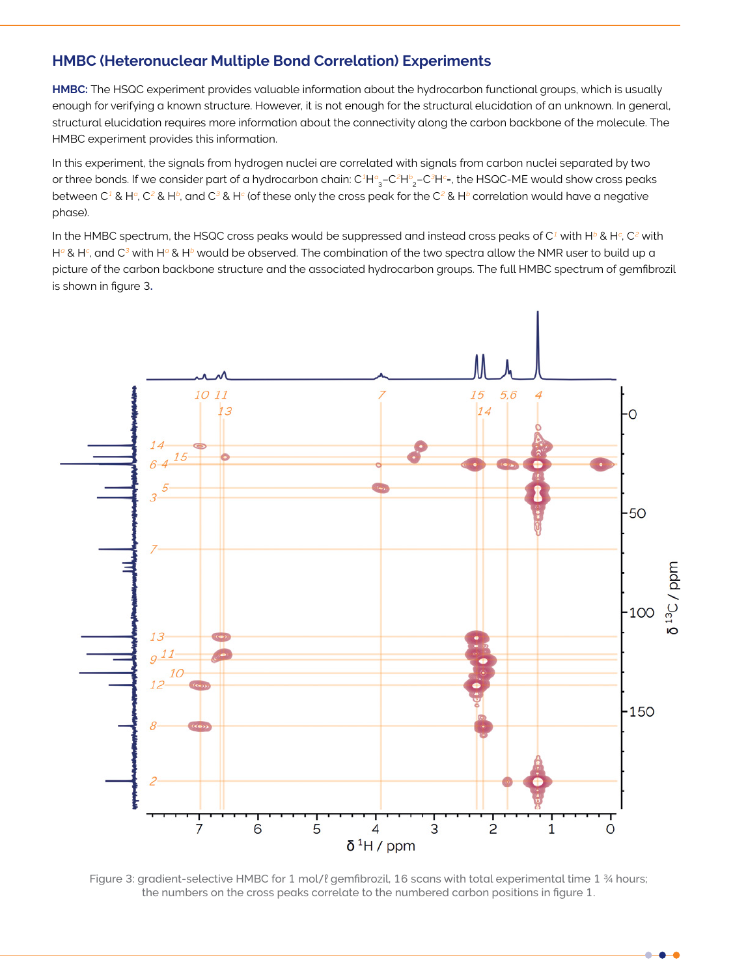#### **HMBC (Heteronuclear Multiple Bond Correlation) Experiments**

**HMBC:** The HSQC experiment provides valuable information about the hydrocarbon functional groups, which is usually enough for verifying a known structure. However, it is not enough for the structural elucidation of an unknown. In general, structural elucidation requires more information about the connectivity along the carbon backbone of the molecule. The HMBC experiment provides this information.

In this experiment, the signals from hydrogen nuclei are correlated with signals from carbon nuclei separated by two or three bonds. If we consider part of a hydrocarbon chain: C $^1\rm H^a_{~3}$ –C $^2\rm H^b_{~2}$ –C $^3\rm H^c$ =, the HSQC-ME would show cross peaks between C<sup>1</sup> & H<sup>o</sup>, C<sup>2</sup> & H<sup>b</sup>, and C<sup>3</sup> & H<sup>c</sup> (of these only the cross peak for the C<sup>2</sup> & H<sup>b</sup> correlation would have a negative phase).

In the HMBC spectrum, the HSQC cross peaks would be suppressed and instead cross peaks of  $C^1$  with H $^b$  & H $^c$ , C<sup>2</sup> with H<sup>a</sup> & H<sup>c</sup>, and C<sup>3</sup> with H<sup>a</sup> & H<sup>b</sup> would be observed. The combination of the two spectra allow the NMR user to build up a picture of the carbon backbone structure and the associated hydrocarbon groups. The full HMBC spectrum of gemfibrozil is shown in figure 3**.**



Figure 3: gradient-selective HMBC for 1 mol/ℓ gemfibrozil, 16 scans with total experimental time 1 ¾ hours; the numbers on the cross peaks correlate to the numbered carbon positions in figure 1.